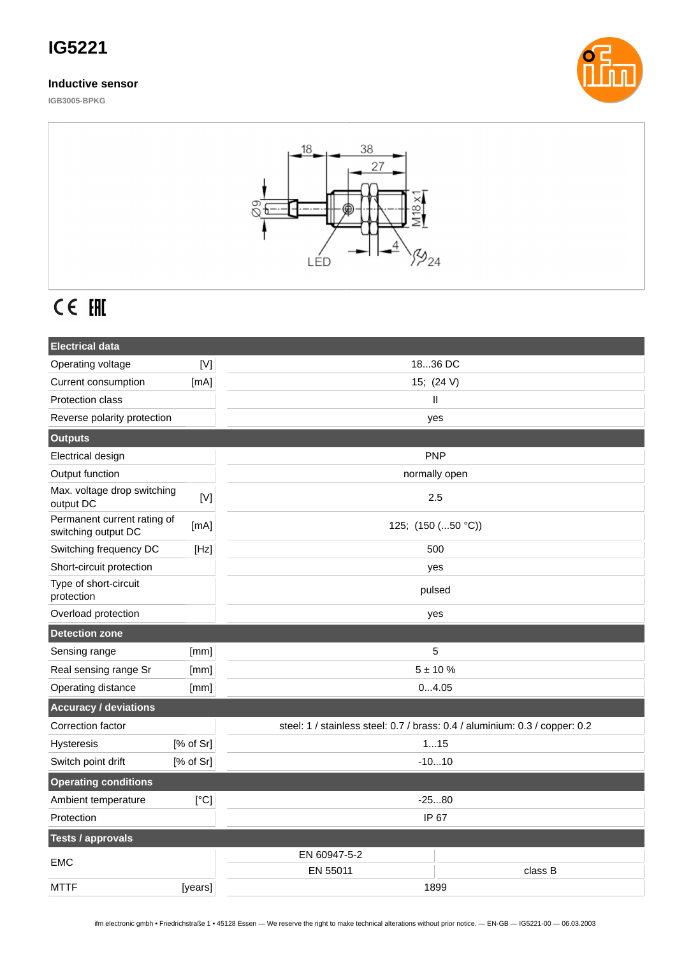## **IG5221**

### **Inductive sensor**







# CE EHI

| <b>Electrical data</b>                             |           |                                                                             |         |
|----------------------------------------------------|-----------|-----------------------------------------------------------------------------|---------|
| Operating voltage                                  | [N]       | 1836 DC                                                                     |         |
| Current consumption                                | [mA]      | 15; (24 V)                                                                  |         |
| <b>Protection class</b>                            |           | Ш                                                                           |         |
| Reverse polarity protection                        |           | yes                                                                         |         |
| <b>Outputs</b>                                     |           |                                                                             |         |
| Electrical design                                  |           | <b>PNP</b>                                                                  |         |
| Output function                                    |           | normally open                                                               |         |
| Max. voltage drop switching<br>output DC           | $[V]$     | 2.5                                                                         |         |
| Permanent current rating of<br>switching output DC | [mA]      | 125; (150 (50 °C))                                                          |         |
| Switching frequency DC                             | [Hz]      | 500                                                                         |         |
| Short-circuit protection                           |           | yes                                                                         |         |
| Type of short-circuit<br>protection                |           | pulsed                                                                      |         |
| Overload protection                                |           | yes                                                                         |         |
| <b>Detection zone</b>                              |           |                                                                             |         |
| Sensing range                                      | [mm]      | 5                                                                           |         |
| Real sensing range Sr                              | [mm]      | $5 + 10%$                                                                   |         |
| Operating distance                                 | [mm]      | 04.05                                                                       |         |
| <b>Accuracy / deviations</b>                       |           |                                                                             |         |
| Correction factor                                  |           | steel: 1 / stainless steel: 0.7 / brass: 0.4 / aluminium: 0.3 / copper: 0.2 |         |
| Hysteresis                                         | [% of Sr] | 115                                                                         |         |
| Switch point drift                                 | [% of Sr] | $-1010$                                                                     |         |
| <b>Operating conditions</b>                        |           |                                                                             |         |
| Ambient temperature                                | [°C]      | $-2580$                                                                     |         |
| Protection                                         |           | IP 67                                                                       |         |
| <b>Tests / approvals</b>                           |           |                                                                             |         |
| <b>EMC</b>                                         |           | EN 60947-5-2                                                                |         |
|                                                    |           | EN 55011                                                                    | class B |
| <b>MTTF</b>                                        | [years]   | 1899                                                                        |         |